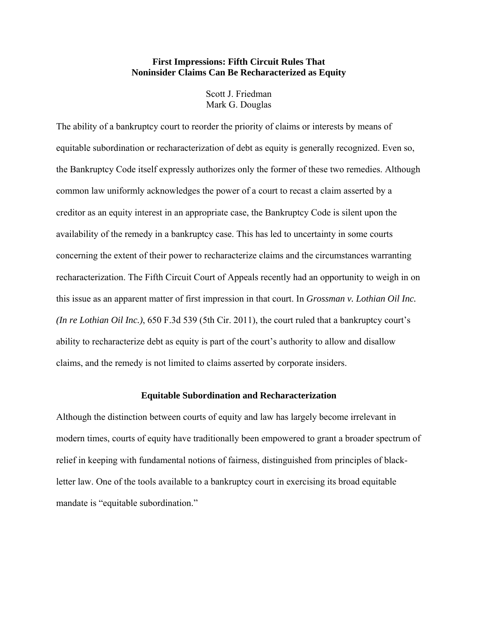# **First Impressions: Fifth Circuit Rules That Noninsider Claims Can Be Recharacterized as Equity**

Scott J. Friedman Mark G. Douglas

The ability of a bankruptcy court to reorder the priority of claims or interests by means of equitable subordination or recharacterization of debt as equity is generally recognized. Even so, the Bankruptcy Code itself expressly authorizes only the former of these two remedies. Although common law uniformly acknowledges the power of a court to recast a claim asserted by a creditor as an equity interest in an appropriate case, the Bankruptcy Code is silent upon the availability of the remedy in a bankruptcy case. This has led to uncertainty in some courts concerning the extent of their power to recharacterize claims and the circumstances warranting recharacterization. The Fifth Circuit Court of Appeals recently had an opportunity to weigh in on this issue as an apparent matter of first impression in that court. In *Grossman v. Lothian Oil Inc. (In re Lothian Oil Inc.)*, 650 F.3d 539 (5th Cir. 2011), the court ruled that a bankruptcy court's ability to recharacterize debt as equity is part of the court's authority to allow and disallow claims, and the remedy is not limited to claims asserted by corporate insiders.

#### **Equitable Subordination and Recharacterization**

Although the distinction between courts of equity and law has largely become irrelevant in modern times, courts of equity have traditionally been empowered to grant a broader spectrum of relief in keeping with fundamental notions of fairness, distinguished from principles of blackletter law. One of the tools available to a bankruptcy court in exercising its broad equitable mandate is "equitable subordination."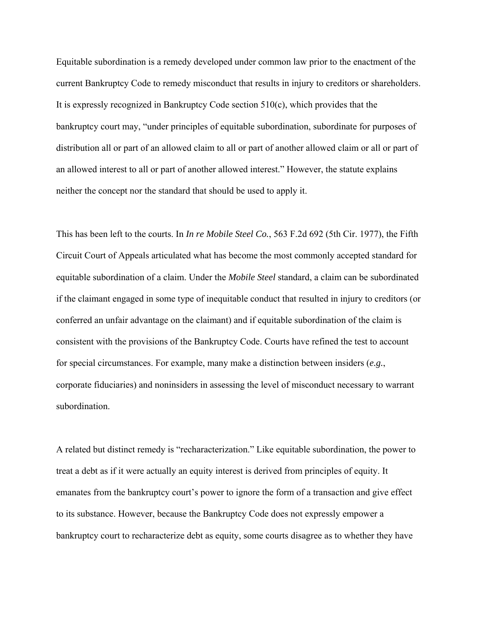Equitable subordination is a remedy developed under common law prior to the enactment of the current Bankruptcy Code to remedy misconduct that results in injury to creditors or shareholders. It is expressly recognized in Bankruptcy Code section  $510(c)$ , which provides that the bankruptcy court may, "under principles of equitable subordination, subordinate for purposes of distribution all or part of an allowed claim to all or part of another allowed claim or all or part of an allowed interest to all or part of another allowed interest." However, the statute explains neither the concept nor the standard that should be used to apply it.

This has been left to the courts. In *In re Mobile Steel Co.*, 563 F.2d 692 (5th Cir. 1977), the Fifth Circuit Court of Appeals articulated what has become the most commonly accepted standard for equitable subordination of a claim. Under the *Mobile Steel* standard, a claim can be subordinated if the claimant engaged in some type of inequitable conduct that resulted in injury to creditors (or conferred an unfair advantage on the claimant) and if equitable subordination of the claim is consistent with the provisions of the Bankruptcy Code. Courts have refined the test to account for special circumstances. For example, many make a distinction between insiders (*e.g.*, corporate fiduciaries) and noninsiders in assessing the level of misconduct necessary to warrant subordination.

A related but distinct remedy is "recharacterization." Like equitable subordination, the power to treat a debt as if it were actually an equity interest is derived from principles of equity. It emanates from the bankruptcy court's power to ignore the form of a transaction and give effect to its substance. However, because the Bankruptcy Code does not expressly empower a bankruptcy court to recharacterize debt as equity, some courts disagree as to whether they have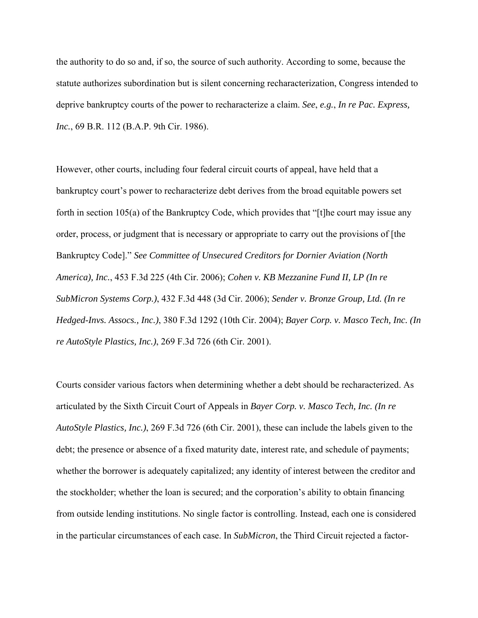the authority to do so and, if so, the source of such authority. According to some, because the statute authorizes subordination but is silent concerning recharacterization, Congress intended to deprive bankruptcy courts of the power to recharacterize a claim. *See*, *e.g.*, *In re Pac. Express, Inc.*, 69 B.R. 112 (B.A.P. 9th Cir. 1986).

However, other courts, including four federal circuit courts of appeal, have held that a bankruptcy court's power to recharacterize debt derives from the broad equitable powers set forth in section 105(a) of the Bankruptcy Code, which provides that "[t]he court may issue any order, process, or judgment that is necessary or appropriate to carry out the provisions of [the Bankruptcy Code]." *See Committee of Unsecured Creditors for Dornier Aviation (North America), Inc.*, 453 F.3d 225 (4th Cir. 2006); *Cohen v. KB Mezzanine Fund II, LP (In re SubMicron Systems Corp.)*, 432 F.3d 448 (3d Cir. 2006); *Sender v. Bronze Group, Ltd. (In re Hedged-Invs. Assocs., Inc.)*, 380 F.3d 1292 (10th Cir. 2004); *Bayer Corp. v. Masco Tech, Inc. (In re AutoStyle Plastics, Inc.)*, 269 F.3d 726 (6th Cir. 2001).

Courts consider various factors when determining whether a debt should be recharacterized. As articulated by the Sixth Circuit Court of Appeals in *Bayer Corp. v. Masco Tech, Inc. (In re AutoStyle Plastics, Inc.)*, 269 F.3d 726 (6th Cir. 2001), these can include the labels given to the debt; the presence or absence of a fixed maturity date, interest rate, and schedule of payments; whether the borrower is adequately capitalized; any identity of interest between the creditor and the stockholder; whether the loan is secured; and the corporation's ability to obtain financing from outside lending institutions. No single factor is controlling. Instead, each one is considered in the particular circumstances of each case. In *SubMicron*, the Third Circuit rejected a factor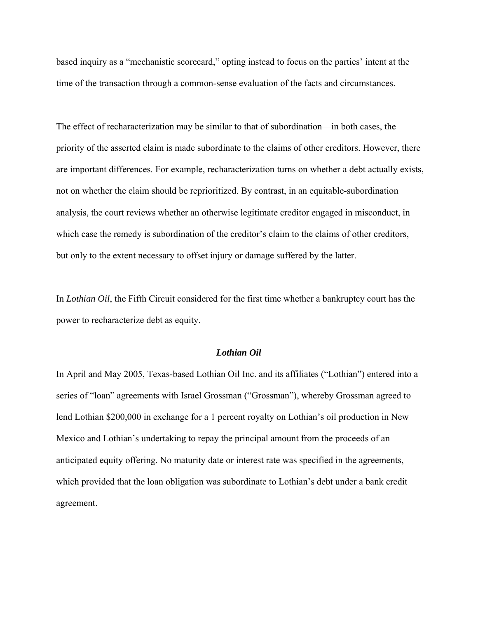based inquiry as a "mechanistic scorecard," opting instead to focus on the parties' intent at the time of the transaction through a common-sense evaluation of the facts and circumstances.

The effect of recharacterization may be similar to that of subordination—in both cases, the priority of the asserted claim is made subordinate to the claims of other creditors. However, there are important differences. For example, recharacterization turns on whether a debt actually exists, not on whether the claim should be reprioritized. By contrast, in an equitable-subordination analysis, the court reviews whether an otherwise legitimate creditor engaged in misconduct, in which case the remedy is subordination of the creditor's claim to the claims of other creditors, but only to the extent necessary to offset injury or damage suffered by the latter.

In *Lothian Oil*, the Fifth Circuit considered for the first time whether a bankruptcy court has the power to recharacterize debt as equity.

## *Lothian Oil*

In April and May 2005, Texas-based Lothian Oil Inc. and its affiliates ("Lothian") entered into a series of "loan" agreements with Israel Grossman ("Grossman"), whereby Grossman agreed to lend Lothian \$200,000 in exchange for a 1 percent royalty on Lothian's oil production in New Mexico and Lothian's undertaking to repay the principal amount from the proceeds of an anticipated equity offering. No maturity date or interest rate was specified in the agreements, which provided that the loan obligation was subordinate to Lothian's debt under a bank credit agreement.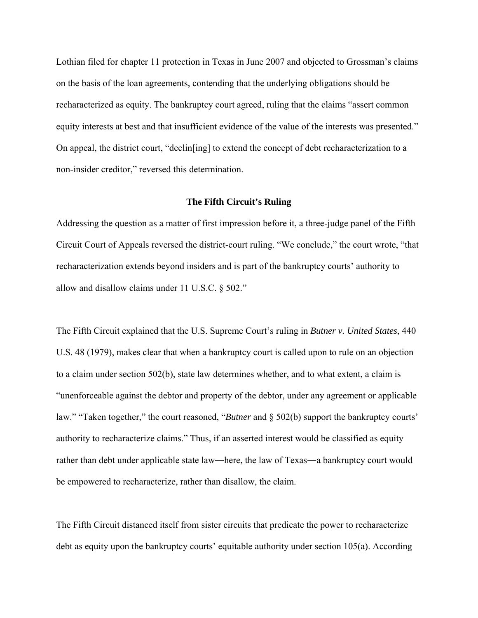Lothian filed for chapter 11 protection in Texas in June 2007 and objected to Grossman's claims on the basis of the loan agreements, contending that the underlying obligations should be recharacterized as equity. The bankruptcy court agreed, ruling that the claims "assert common equity interests at best and that insufficient evidence of the value of the interests was presented." On appeal, the district court, "declin[ing] to extend the concept of debt recharacterization to a non-insider creditor," reversed this determination.

### **The Fifth Circuit's Ruling**

Addressing the question as a matter of first impression before it, a three-judge panel of the Fifth Circuit Court of Appeals reversed the district-court ruling. "We conclude," the court wrote, "that recharacterization extends beyond insiders and is part of the bankruptcy courts' authority to allow and disallow claims under 11 U.S.C. § 502."

The Fifth Circuit explained that the U.S. Supreme Court's ruling in *Butner v. United States*, 440 U.S. 48 (1979), makes clear that when a bankruptcy court is called upon to rule on an objection to a claim under section 502(b), state law determines whether, and to what extent, a claim is "unenforceable against the debtor and property of the debtor, under any agreement or applicable law." "Taken together," the court reasoned, "*Butner* and § 502(b) support the bankruptcy courts' authority to recharacterize claims." Thus, if an asserted interest would be classified as equity rather than debt under applicable state law―here, the law of Texas―a bankruptcy court would be empowered to recharacterize, rather than disallow, the claim.

The Fifth Circuit distanced itself from sister circuits that predicate the power to recharacterize debt as equity upon the bankruptcy courts' equitable authority under section 105(a). According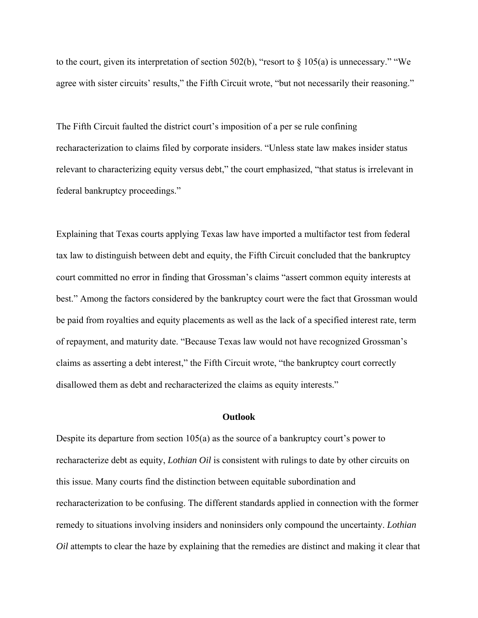to the court, given its interpretation of section 502(b), "resort to  $\S 105(a)$  is unnecessary." "We agree with sister circuits' results," the Fifth Circuit wrote, "but not necessarily their reasoning."

The Fifth Circuit faulted the district court's imposition of a per se rule confining recharacterization to claims filed by corporate insiders. "Unless state law makes insider status relevant to characterizing equity versus debt," the court emphasized, "that status is irrelevant in federal bankruptcy proceedings."

Explaining that Texas courts applying Texas law have imported a multifactor test from federal tax law to distinguish between debt and equity, the Fifth Circuit concluded that the bankruptcy court committed no error in finding that Grossman's claims "assert common equity interests at best." Among the factors considered by the bankruptcy court were the fact that Grossman would be paid from royalties and equity placements as well as the lack of a specified interest rate, term of repayment, and maturity date. "Because Texas law would not have recognized Grossman's claims as asserting a debt interest," the Fifth Circuit wrote, "the bankruptcy court correctly disallowed them as debt and recharacterized the claims as equity interests."

# **Outlook**

Despite its departure from section 105(a) as the source of a bankruptcy court's power to recharacterize debt as equity, *Lothian Oil* is consistent with rulings to date by other circuits on this issue. Many courts find the distinction between equitable subordination and recharacterization to be confusing. The different standards applied in connection with the former remedy to situations involving insiders and noninsiders only compound the uncertainty. *Lothian Oil* attempts to clear the haze by explaining that the remedies are distinct and making it clear that